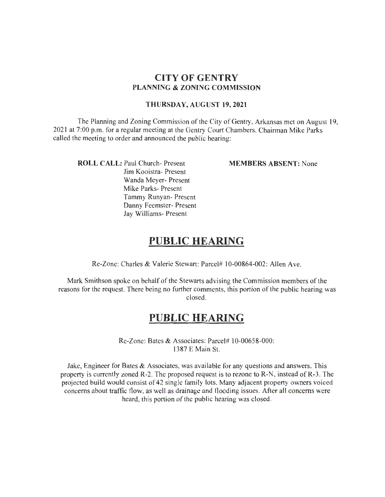# **CITY OF GENTRY PLANNING & ZONING COMMISSION**

#### **THURSDAY, AUGUST 19,2021**

The Planning and Zoning Commission of the City of Gentry, Arkansas met on August 19, 2021 at 7:00 p.m. for a regular meeting at the Gentry Court Chambers. Chairman Mike Parks called the meeting to order and announced the public hearing:

**ROLL CALL:** Paul Church- Present

Jim Kooistra- Present Wanda Meyer- Present Mike Parks- Present Tammy Runyan- Present Danny Feemster- Present Jay Williams- Present

**MEMBERS ABSENT:** None

# **PUBLIC HEARING**

Re-Zone: Charles & Valerie Stewart: Parcel# I 0-00864-002: Allen Ave.

Mark Smithson spoke on behalf of the Stewarts advising the Commission members of the reasons for the request. There being no further comments, this portion of the public hearing was closed.

# **PUBLIC HEARING**

Re-Zone: Bates & Associates: Parcel# 10-00658-000: 1387 E Main St.

Jake, Engineer for Bates  $\&$  Associates, was available for any questions and answers. This property is currently zoned R-2. The proposed request is to rezone to  $R-N$ , instead of  $R-3$ . The projected build would consist of 42 single family lots. Many adjacent property owners voiced concerns about traffic flow, as well as drainage and flooding issues. After all concerns were heard, this portion of the public hearing was closed.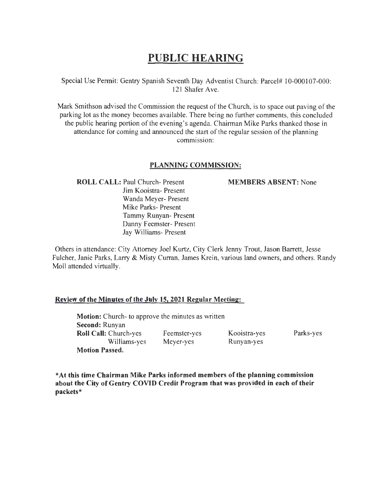# **PUBLIC HEARING**

Special Use Permit: Gentry Spanish Seventh Day Adventist Church: Parcel# 10-000107-000: 121 Shafer Ave.

Mark Smithson advised the Commission the request of the Church, is to space out paving of the parking lot as the money becomes available. There being no further comments, this concluded the public hearing portion of the evening's agenda. Chairman Mike Parks thanked those in attendance for coming and announced the start of the regular session of the planning commission:

#### **PLANNING COMMISSION:**

**ROLL CALL:** Paul Church- Present Jim Kooistra- Present Wanda Meyer- Present Mike Parks- Present Tammy Runyan- Present Danny Feemster- Present Jay Williams- Present

#### **MEMBERS ABSENT:** None

Others in attendance: City Attorney Joel Kurtz, City Clerk Jenny Trout, Jason Barrett, Jesse Fulcher, Janie Parks, Larry & Misty Curran, James Krein, various land owners, and others. Randy Moll attended virtually.

# **Review of the Minutes of the July 15, 2021 Regular Meeting:**

**Motion:** Church- to approve the minutes as written **Second:** Runyan **Roll Call:** Church-yes Williams-yes **Motion Passed.**  Feemster-yes Meyer-yes Kooistra-yes Runyan-yes Parks-yes

**\*At this time Chairman Mike Parks informed members of the planning commission about the City of Gentry COVID Credit Program that was provided in each of their packets\***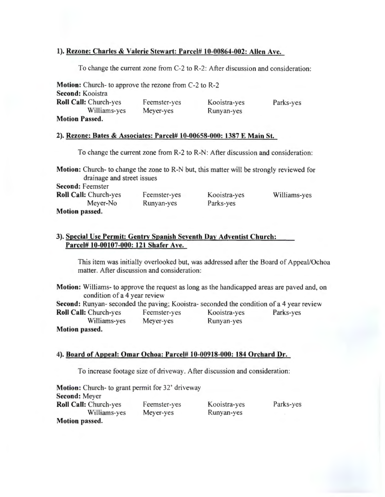# 1). Rezone: Charles & Valerie Stewart: Parcel# 10-00864-002: Allen Ave.

To change the current zone from C-2 to R-2 : After discussion and consideration:

| <b>Motion:</b> Church- to approve the rezone from C-2 to R-2 |              |              |           |
|--------------------------------------------------------------|--------------|--------------|-----------|
| Second: Kooistra                                             |              |              |           |
| <b>Roll Call: Church-yes</b>                                 | Feemster-yes | Kooistra-yes | Parks-yes |
| Williams-yes                                                 | Meyer-yes    | Runyan-yes   |           |
| <b>Motion Passed.</b>                                        |              |              |           |

#### 2). Rezone: Bates & Associates: Parcel# 10-00658-000: 1387 E Main St.

To change the current zone from R-2 to R-N: After discussion and consideration:

Motion: Church- to change the zone to R-N but, this matter will be strongly reviewed for drainage and street issues Second: Feemster Roll Call: Church-yes Meyer-No Motion passed. Feemster-yes Runyan-yes Kooistra-yes Parks-yes Williams-yes

# 3). Special Use Permit: Gentry Spanish Seventh Day Adventist Church: Parcel# 10-00107-000: 121 Shafer Ave.

This item was initially overlooked but, was addressed after the Board of Appeal/Ochoa matter. After discussion and consideration:

| <b>Motion:</b> Williams- to approve the request as long as the handicapped areas are paved and, on<br>condition of a 4 year review |              |              |           |
|------------------------------------------------------------------------------------------------------------------------------------|--------------|--------------|-----------|
| Second: Runyan- seconded the paving; Kooistra- seconded the condition of a 4 year review                                           |              |              |           |
| <b>Roll Call: Church-yes</b>                                                                                                       | Feemster-yes | Kooistra-yes | Parks-yes |
| Williams-yes                                                                                                                       | Meyer-yes    | Runyan-yes   |           |
| <b>Motion passed.</b>                                                                                                              |              |              |           |

#### 4). Board of Appeal: Omar Ochoa: Parcel# 10-00918-000: 184 Orchard Dr.

To increase footage size of driveway . After discussion and consideration:

| <b>Motion:</b> Church- to grant permit for 32' driveway |              |              |           |
|---------------------------------------------------------|--------------|--------------|-----------|
| <b>Second: Meyer</b>                                    |              |              |           |
| <b>Roll Call: Church-yes</b>                            | Feemster-yes | Kooistra-yes | Parks-yes |
| Williams-yes                                            | Meyer-yes    | Runyan-yes   |           |
| <b>Motion passed.</b>                                   |              |              |           |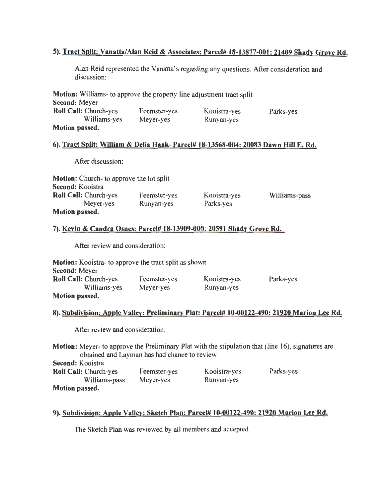# 5). Tract Split: Vanatta/Alan Reid & Associates: Parcel# 18-13877-001: 21409 Shady Grove Rd.

Alan Reid represented the Vanatta's regarding any questions. After consideration and discussion:

| Motion: Williams- to approve the property line adjustment tract split |              |              |           |
|-----------------------------------------------------------------------|--------------|--------------|-----------|
| Second: Meyer                                                         |              |              |           |
| <b>Roll Call: Church-yes</b>                                          | Feemster-yes | Kooistra-yes | Parks-yes |
| Williams-yes                                                          | Meyer-yes    | Runyan-yes   |           |
| Motion passed.                                                        |              |              |           |

#### 6). Tract Split: William & Delia Haak- Parcel# 18-13568-004: 20083 Dawn Hill E. Rd.

After discussion:

| <b>Motion:</b> Church- to approve the lot split |              |              |               |
|-------------------------------------------------|--------------|--------------|---------------|
| <b>Second:</b> Kooistra                         |              |              |               |
| <b>Roll Call: Church-yes</b>                    | Feemster-yes | Kooistra-yes | Williams-pass |
| Meyer-yes                                       | Runyan-yes   | Parks-yes    |               |
| <b>Motion passed.</b>                           |              |              |               |

# 7). Kevin & Candra Osnes: Parcel# 18-13909-000: 20591 Shady Grove Rd.

After review and consideration:

| <b>Motion:</b> Kooistra- to approve the tract split as shown |              |              |           |
|--------------------------------------------------------------|--------------|--------------|-----------|
| <b>Second: Meyer</b>                                         |              |              |           |
| <b>Roll Call: Church-yes</b>                                 | Feemster-yes | Kooistra-yes | Parks-yes |
| Williams-yes                                                 | Meyer-yes    | Runyan-yes   |           |
| Motion passed.                                               |              |              |           |

# 8). Subdivision: Apple Valley: Preliminary Plat: Parcel# 10-00122-490: 21920 Marion Lee Rd.

After review and consideration:

Motion: Meyer- to approve the Preliminary Plat with the stipulation that (line 16), signatures are obtained and Layman has had chance to review Second: Kooistra

| <b>Roll Call: Church-yes</b> | Feemster-yes | Kooistra-yes | Parks-yes |
|------------------------------|--------------|--------------|-----------|
| Williams-pass                | Mever-yes    | Runyan-yes   |           |
| Motion passed.               |              |              |           |

# 9). Subdivision: Apple Valley: Sketch Plan: Parcel# 10-00122-490: 21920 Marion Lee Rd.

The Sketch Plan was reviewed by all members and accepted.